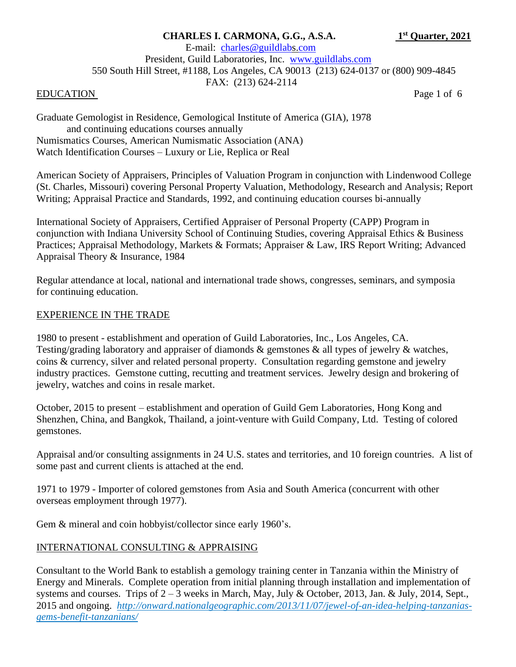# **CHARLES I. CARMONA, G.G., A.S.A. 1**

**st Quarter, 2021**

 E-mail: [charles@guildlabs](mailto:charles@guildlab).com President, Guild Laboratories, Inc. [www.guildlabs.com](http://www.guildlabs.com/) 550 South Hill Street, #1188, Los Angeles, CA 90013 (213) 624-0137 or (800) 909-4845 FAX: (213) 624-2114

### EDUCATION Page 1 of 6

Graduate Gemologist in Residence, Gemological Institute of America (GIA), 1978 and continuing educations courses annually Numismatics Courses, American Numismatic Association (ANA) Watch Identification Courses – Luxury or Lie, Replica or Real

American Society of Appraisers, Principles of Valuation Program in conjunction with Lindenwood College (St. Charles, Missouri) covering Personal Property Valuation, Methodology, Research and Analysis; Report Writing; Appraisal Practice and Standards, 1992, and continuing education courses bi-annually

International Society of Appraisers, Certified Appraiser of Personal Property (CAPP) Program in conjunction with Indiana University School of Continuing Studies, covering Appraisal Ethics & Business Practices; Appraisal Methodology, Markets & Formats; Appraiser & Law, IRS Report Writing; Advanced Appraisal Theory & Insurance, 1984

Regular attendance at local, national and international trade shows, congresses, seminars, and symposia for continuing education.

### EXPERIENCE IN THE TRADE

1980 to present - establishment and operation of Guild Laboratories, Inc., Los Angeles, CA. Testing/grading laboratory and appraiser of diamonds & gemstones & all types of jewelry & watches, coins & currency, silver and related personal property. Consultation regarding gemstone and jewelry industry practices. Gemstone cutting, recutting and treatment services. Jewelry design and brokering of jewelry, watches and coins in resale market.

October, 2015 to present – establishment and operation of Guild Gem Laboratories, Hong Kong and Shenzhen, China, and Bangkok, Thailand, a joint-venture with Guild Company, Ltd. Testing of colored gemstones.

Appraisal and/or consulting assignments in 24 U.S. states and territories, and 10 foreign countries. A list of some past and current clients is attached at the end.

1971 to 1979 - Importer of colored gemstones from Asia and South America (concurrent with other overseas employment through 1977).

Gem & mineral and coin hobbyist/collector since early 1960's.

# INTERNATIONAL CONSULTING & APPRAISING

Consultant to the World Bank to establish a gemology training center in Tanzania within the Ministry of Energy and Minerals. Complete operation from initial planning through installation and implementation of systems and courses. Trips of  $2 - 3$  weeks in March, May, July & October, 2013, Jan. & July, 2014, Sept., 2015 and ongoing. *http://onward.nationalgeographic.com/2013/11/07/jewel-of-an-idea-helping-tanzaniasgems-benefit-tanzanians/*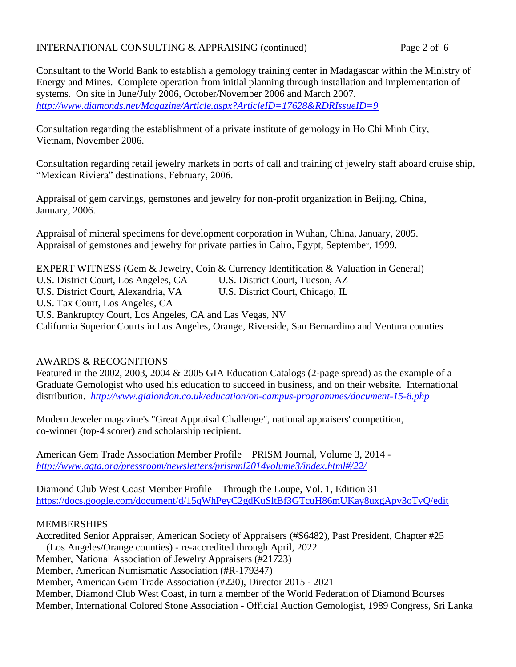# INTERNATIONAL CONSULTING & APPRAISING (continued) Page 2 of 6

Consultant to the World Bank to establish a gemology training center in Madagascar within the Ministry of Energy and Mines. Complete operation from initial planning through installation and implementation of systems. On site in June/July 2006, October/November 2006 and March 2007. *<http://www.diamonds.net/Magazine/Article.aspx?ArticleID=17628&RDRIssueID=9>*

Consultation regarding the establishment of a private institute of gemology in Ho Chi Minh City, Vietnam, November 2006.

Consultation regarding retail jewelry markets in ports of call and training of jewelry staff aboard cruise ship, "Mexican Riviera" destinations, February, 2006.

Appraisal of gem carvings, gemstones and jewelry for non-profit organization in Beijing, China, January, 2006.

Appraisal of mineral specimens for development corporation in Wuhan, China, January, 2005. Appraisal of gemstones and jewelry for private parties in Cairo, Egypt, September, 1999.

EXPERT WITNESS (Gem & Jewelry, Coin & Currency Identification & Valuation in General)

U.S. District Court, Los Angeles, CA U.S. District Court, Tucson, AZ

U.S. District Court, Alexandria, VA U.S. District Court, Chicago, IL

U.S. Tax Court, Los Angeles, CA

U.S. Bankruptcy Court, Los Angeles, CA and Las Vegas, NV

California Superior Courts in Los Angeles, Orange, Riverside, San Bernardino and Ventura counties

# AWARDS & RECOGNITIONS

Featured in the 2002, 2003, 2004 & 2005 GIA Education Catalogs (2-page spread) as the example of a Graduate Gemologist who used his education to succeed in business, and on their website. International distribution. *<http://www.gialondon.co.uk/education/on-campus-programmes/document-15-8.php>*

Modern Jeweler magazine's "Great Appraisal Challenge", national appraisers' competition, co-winner (top-4 scorer) and scholarship recipient.

American Gem Trade Association Member Profile – PRISM Journal, Volume 3, 2014 *<http://www.agta.org/pressroom/newsletters/prismnl2014volume3/index.html#/22/>*

Diamond Club West Coast Member Profile – Through the Loupe, Vol. 1, Edition 31 <https://docs.google.com/document/d/15qWhPeyC2gdKuSltBf3GTcuH86mUKay8uxgApv3oTvQ/edit>

# MEMBERSHIPS

Accredited Senior Appraiser, American Society of Appraisers (#S6482), Past President, Chapter #25 (Los Angeles/Orange counties) - re-accredited through April, 2022 Member, National Association of Jewelry Appraisers (#21723) Member, American Numismatic Association (#R-179347) Member, American Gem Trade Association (#220), Director 2015 - 2021 Member, Diamond Club West Coast, in turn a member of the World Federation of Diamond Bourses Member, International Colored Stone Association - Official Auction Gemologist, 1989 Congress, Sri Lanka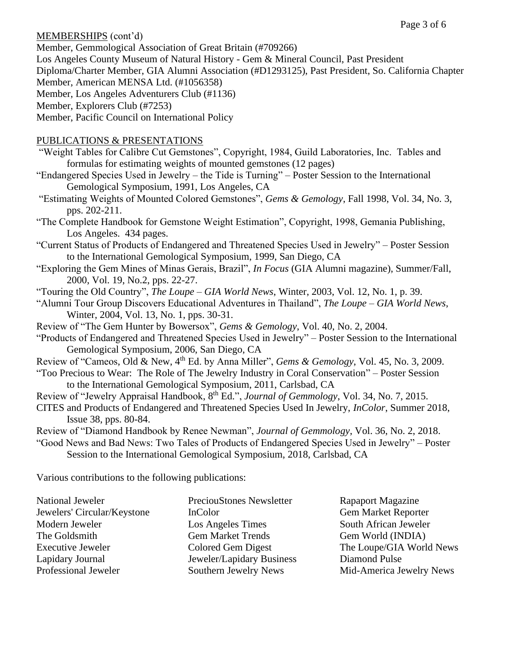## MEMBERSHIPS (cont'd)

Member, Gemmological Association of Great Britain (#709266)

Los Angeles County Museum of Natural History - Gem & Mineral Council, Past President

Diploma/Charter Member, GIA Alumni Association (#D1293125), Past President, So. California Chapter Member, American MENSA Ltd. (#1056358)

Member, Los Angeles Adventurers Club (#1136)

Member, Explorers Club (#7253)

Member, Pacific Council on International Policy

# PUBLICATIONS & PRESENTATIONS

- "Weight Tables for Calibre Cut Gemstones", Copyright, 1984, Guild Laboratories, Inc. Tables and formulas for estimating weights of mounted gemstones (12 pages)
- "Endangered Species Used in Jewelry the Tide is Turning" Poster Session to the International Gemological Symposium, 1991, Los Angeles, CA
- "Estimating Weights of Mounted Colored Gemstones", *Gems & Gemology*, Fall 1998, Vol. 34, No. 3, pps. 202-211.
- "The Complete Handbook for Gemstone Weight Estimation", Copyright, 1998, Gemania Publishing, Los Angeles. 434 pages.
- "Current Status of Products of Endangered and Threatened Species Used in Jewelry" Poster Session to the International Gemological Symposium, 1999, San Diego, CA
- "Exploring the Gem Mines of Minas Gerais, Brazil", *In Focus* (GIA Alumni magazine), Summer/Fall, 2000, Vol. 19, No.2, pps. 22-27.
- "Touring the Old Country", *The Loupe – GIA World News*, Winter, 2003, Vol. 12, No. 1, p. 39.
- "Alumni Tour Group Discovers Educational Adventures in Thailand", *The Loupe – GIA World News*, Winter, 2004, Vol. 13, No. 1, pps. 30-31.
- Review of "The Gem Hunter by Bowersox", *Gems & Gemology*, Vol. 40, No. 2, 2004.
- "Products of Endangered and Threatened Species Used in Jewelry" Poster Session to the International Gemological Symposium, 2006, San Diego, CA
- Review of "Cameos, Old & New, 4th Ed. by Anna Miller", *Gems & Gemology*, Vol. 45, No. 3, 2009.
- "Too Precious to Wear: The Role of The Jewelry Industry in Coral Conservation" Poster Session to the International Gemological Symposium, 2011, Carlsbad, CA
- Review of "Jewelry Appraisal Handbook, 8<sup>th</sup> Ed.", *Journal of Gemmology*, Vol. 34, No. 7, 2015.
- CITES and Products of Endangered and Threatened Species Used In Jewelry, *InColor*, Summer 2018, Issue 38, pps. 80-84.
- Review of "Diamond Handbook by Renee Newman", *Journal of Gemmology*, Vol. 36, No. 2, 2018.
- "Good News and Bad News: Two Tales of Products of Endangered Species Used in Jewelry" Poster Session to the International Gemological Symposium, 2018, Carlsbad, CA

Various contributions to the following publications:

|                           | <b>Rapaport Magazine</b>   |
|---------------------------|----------------------------|
| InColor                   | <b>Gem Market Reporter</b> |
| Los Angeles Times         | South African Jeweler      |
| <b>Gem Market Trends</b>  | Gem World (INDIA)          |
| Colored Gem Digest        | The Loupe/GIA World News   |
| Jeweler/Lapidary Business | Diamond Pulse              |
| Southern Jewelry News     | Mid-America Jewelry News   |
|                           | PreciouStones Newsletter   |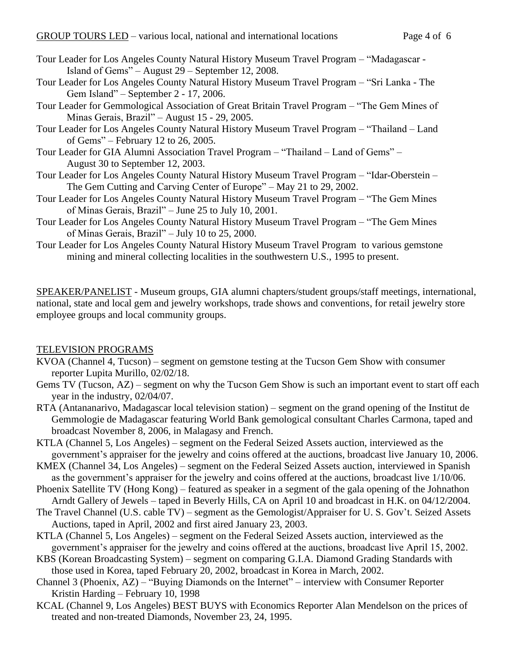- Tour Leader for Los Angeles County Natural History Museum Travel Program "Madagascar Island of Gems" – August 29 – September 12, 2008.
- Tour Leader for Los Angeles County Natural History Museum Travel Program "Sri Lanka The Gem Island" – September 2 - 17, 2006.
- Tour Leader for Gemmological Association of Great Britain Travel Program "The Gem Mines of Minas Gerais, Brazil" – August 15 - 29, 2005.
- Tour Leader for Los Angeles County Natural History Museum Travel Program "Thailand Land of Gems" – February 12 to 26, 2005.
- Tour Leader for GIA Alumni Association Travel Program "Thailand Land of Gems" August 30 to September 12, 2003.
- Tour Leader for Los Angeles County Natural History Museum Travel Program "Idar-Oberstein The Gem Cutting and Carving Center of Europe" – May 21 to 29, 2002.
- Tour Leader for Los Angeles County Natural History Museum Travel Program "The Gem Mines of Minas Gerais, Brazil" – June 25 to July 10, 2001.
- Tour Leader for Los Angeles County Natural History Museum Travel Program "The Gem Mines of Minas Gerais, Brazil" – July 10 to 25, 2000.
- Tour Leader for Los Angeles County Natural History Museum Travel Program to various gemstone mining and mineral collecting localities in the southwestern U.S., 1995 to present.

SPEAKER/PANELIST - Museum groups, GIA alumni chapters/student groups/staff meetings, international, national, state and local gem and jewelry workshops, trade shows and conventions, for retail jewelry store employee groups and local community groups.

### TELEVISION PROGRAMS

- KVOA (Channel 4, Tucson) segment on gemstone testing at the Tucson Gem Show with consumer reporter Lupita Murillo, 02/02/18.
- Gems TV (Tucson, AZ) segment on why the Tucson Gem Show is such an important event to start off each year in the industry, 02/04/07.
- RTA (Antananarivo, Madagascar local television station) segment on the grand opening of the Institut de Gemmologie de Madagascar featuring World Bank gemological consultant Charles Carmona, taped and broadcast November 8, 2006, in Malagasy and French.
- KTLA (Channel 5, Los Angeles) segment on the Federal Seized Assets auction, interviewed as the government's appraiser for the jewelry and coins offered at the auctions, broadcast live January 10, 2006.
- KMEX (Channel 34, Los Angeles) segment on the Federal Seized Assets auction, interviewed in Spanish as the government's appraiser for the jewelry and coins offered at the auctions, broadcast live 1/10/06.
- Phoenix Satellite TV (Hong Kong) featured as speaker in a segment of the gala opening of the Johnathon Arndt Gallery of Jewels – taped in Beverly Hills, CA on April 10 and broadcast in H.K. on 04/12/2004.
- The Travel Channel (U.S. cable TV) segment as the Gemologist/Appraiser for U. S. Gov't. Seized Assets Auctions, taped in April, 2002 and first aired January 23, 2003.
- KTLA (Channel 5, Los Angeles) segment on the Federal Seized Assets auction, interviewed as the government's appraiser for the jewelry and coins offered at the auctions, broadcast live April 15, 2002.
- KBS (Korean Broadcasting System) segment on comparing G.I.A. Diamond Grading Standards with those used in Korea, taped February 20, 2002, broadcast in Korea in March, 2002.
- Channel 3 (Phoenix, AZ) "Buying Diamonds on the Internet" interview with Consumer Reporter Kristin Harding – February 10, 1998
- KCAL (Channel 9, Los Angeles) BEST BUYS with Economics Reporter Alan Mendelson on the prices of treated and non-treated Diamonds, November 23, 24, 1995.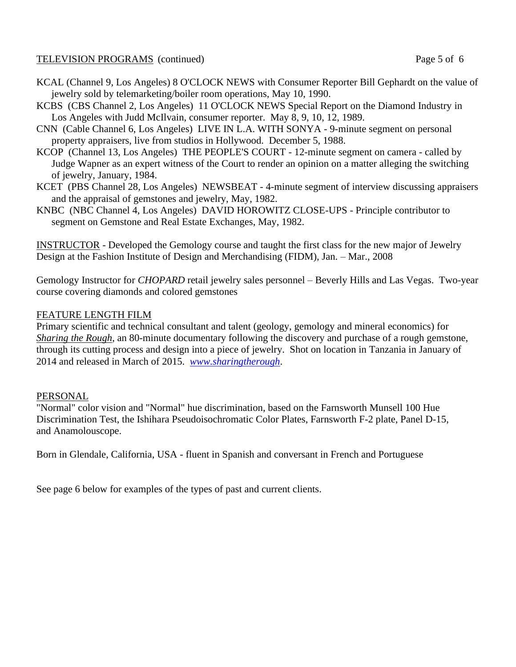## TELEVISION PROGRAMS (continued) Page 5 of 6

- KCAL (Channel 9, Los Angeles) 8 O'CLOCK NEWS with Consumer Reporter Bill Gephardt on the value of jewelry sold by telemarketing/boiler room operations, May 10, 1990.
- KCBS (CBS Channel 2, Los Angeles) 11 O'CLOCK NEWS Special Report on the Diamond Industry in Los Angeles with Judd McIlvain, consumer reporter. May 8, 9, 10, 12, 1989.
- CNN (Cable Channel 6, Los Angeles) LIVE IN L.A. WITH SONYA 9-minute segment on personal property appraisers, live from studios in Hollywood. December 5, 1988.
- KCOP (Channel 13, Los Angeles) THE PEOPLE'S COURT 12-minute segment on camera called by Judge Wapner as an expert witness of the Court to render an opinion on a matter alleging the switching of jewelry, January, 1984.
- KCET (PBS Channel 28, Los Angeles) NEWSBEAT 4-minute segment of interview discussing appraisers and the appraisal of gemstones and jewelry, May, 1982.
- KNBC (NBC Channel 4, Los Angeles) DAVID HOROWITZ CLOSE-UPS Principle contributor to segment on Gemstone and Real Estate Exchanges, May, 1982.

INSTRUCTOR - Developed the Gemology course and taught the first class for the new major of Jewelry Design at the Fashion Institute of Design and Merchandising (FIDM), Jan. – Mar., 2008

Gemology Instructor for *CHOPARD* retail jewelry sales personnel – Beverly Hills and Las Vegas. Two-year course covering diamonds and colored gemstones

### FEATURE LENGTH FILM

Primary scientific and technical consultant and talent (geology, gemology and mineral economics) for *Sharing the Rough*, an 80-minute documentary following the discovery and purchase of a rough gemstone, through its cutting process and design into a piece of jewelry. Shot on location in Tanzania in January of 2014 and released in March of 2015. *[www.sharingtherough](http://www.sharingtherough/)*.

### PERSONAL

"Normal" color vision and "Normal" hue discrimination, based on the Farnsworth Munsell 100 Hue Discrimination Test, the Ishihara Pseudoisochromatic Color Plates, Farnsworth F-2 plate, Panel D-15, and Anamolouscope.

Born in Glendale, California, USA - fluent in Spanish and conversant in French and Portuguese

See page 6 below for examples of the types of past and current clients.